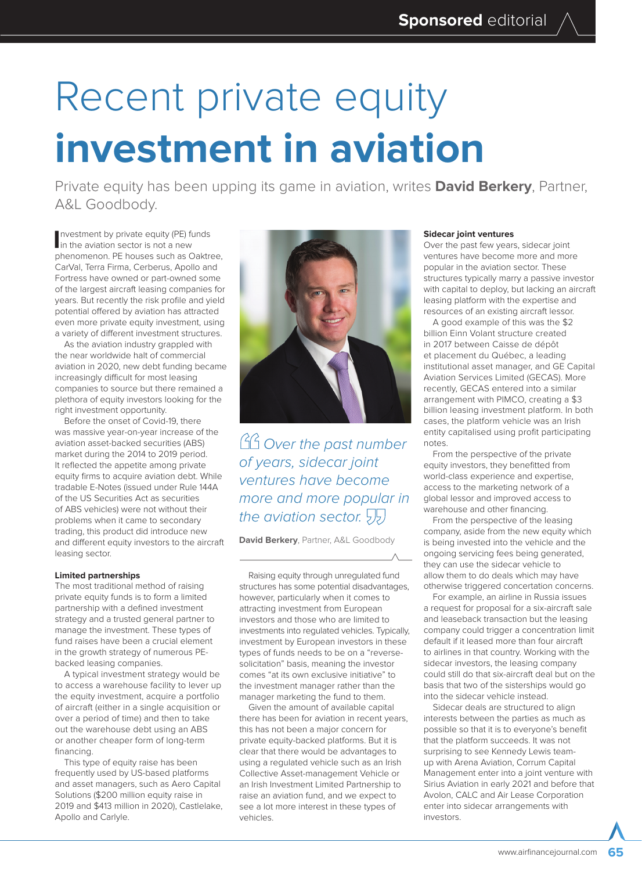# Recent private equity **investment in aviation**

Private equity has been upping its game in aviation, writes **David Berkery**, Partner, A&L Goodbody.

**I**nvestment by private equity (PE) fun the aviation sector is not a new nvestment by private equity (PE) funds phenomenon. PE houses such as Oaktree, CarVal, Terra Firma, Cerberus, Apollo and Fortress have owned or part-owned some of the largest aircraft leasing companies for years. But recently the risk profile and yield potential offered by aviation has attracted even more private equity investment, using a variety of different investment structures.

As the aviation industry grappled with the near worldwide halt of commercial aviation in 2020, new debt funding became increasingly difficult for most leasing companies to source but there remained a plethora of equity investors looking for the right investment opportunity.

Before the onset of Covid-19, there was massive year-on-year increase of the aviation asset-backed securities (ABS) market during the 2014 to 2019 period. It reflected the appetite among private equity firms to acquire aviation debt. While tradable E-Notes (issued under Rule 144A of the US Securities Act as securities of ABS vehicles) were not without their problems when it came to secondary trading, this product did introduce new and different equity investors to the aircraft leasing sector.

# **Limited partnerships**

The most traditional method of raising private equity funds is to form a limited partnership with a defined investment strategy and a trusted general partner to manage the investment. These types of fund raises have been a crucial element in the growth strategy of numerous PEbacked leasing companies.

A typical investment strategy would be to access a warehouse facility to lever up the equity investment, acquire a portfolio of aircraft (either in a single acquisition or over a period of time) and then to take out the warehouse debt using an ABS or another cheaper form of long-term financing.

This type of equity raise has been frequently used by US-based platforms and asset managers, such as Aero Capital Solutions (\$200 million equity raise in 2019 and \$413 million in 2020), Castlelake, Apollo and Carlyle.



GG Over the past number of years, sidecar joint ventures have become more and more popular in the aviation sector.  $55$ 

**David Berkery**, Partner, A&L Goodbody

Raising equity through unregulated fund structures has some potential disadvantages, however, particularly when it comes to attracting investment from European investors and those who are limited to investments into regulated vehicles. Typically, investment by European investors in these types of funds needs to be on a "reversesolicitation" basis, meaning the investor comes "at its own exclusive initiative" to the investment manager rather than the manager marketing the fund to them.

Given the amount of available capital there has been for aviation in recent years, this has not been a major concern for private equity-backed platforms. But it is clear that there would be advantages to using a regulated vehicle such as an Irish Collective Asset-management Vehicle or an Irish Investment Limited Partnership to raise an aviation fund, and we expect to see a lot more interest in these types of vehicles.

### **Sidecar joint ventures**

Over the past few years, sidecar joint ventures have become more and more popular in the aviation sector. These structures typically marry a passive investor with capital to deploy, but lacking an aircraft leasing platform with the expertise and resources of an existing aircraft lessor.

A good example of this was the \$2 billion Einn Volant structure created in 2017 between Caisse de dépôt et placement du Québec, a leading institutional asset manager, and GE Capital Aviation Services Limited (GECAS). More recently, GECAS entered into a similar arrangement with PIMCO, creating a \$3 billion leasing investment platform. In both cases, the platform vehicle was an Irish entity capitalised using profit participating notes.

From the perspective of the private equity investors, they benefitted from world-class experience and expertise, access to the marketing network of a global lessor and improved access to warehouse and other financing.

From the perspective of the leasing company, aside from the new equity which is being invested into the vehicle and the ongoing servicing fees being generated, they can use the sidecar vehicle to allow them to do deals which may have otherwise triggered concertation concerns.

For example, an airline in Russia issues a request for proposal for a six-aircraft sale and leaseback transaction but the leasing company could trigger a concentration limit default if it leased more than four aircraft to airlines in that country. Working with the sidecar investors, the leasing company could still do that six-aircraft deal but on the basis that two of the sisterships would go into the sidecar vehicle instead.

Sidecar deals are structured to align interests between the parties as much as possible so that it is to everyone's benefit that the platform succeeds. It was not surprising to see Kennedy Lewis teamup with Arena Aviation, Corrum Capital Management enter into a joint venture with Sirius Aviation in early 2021 and before that Avolon, CALC and Air Lease Corporation enter into sidecar arrangements with investors.